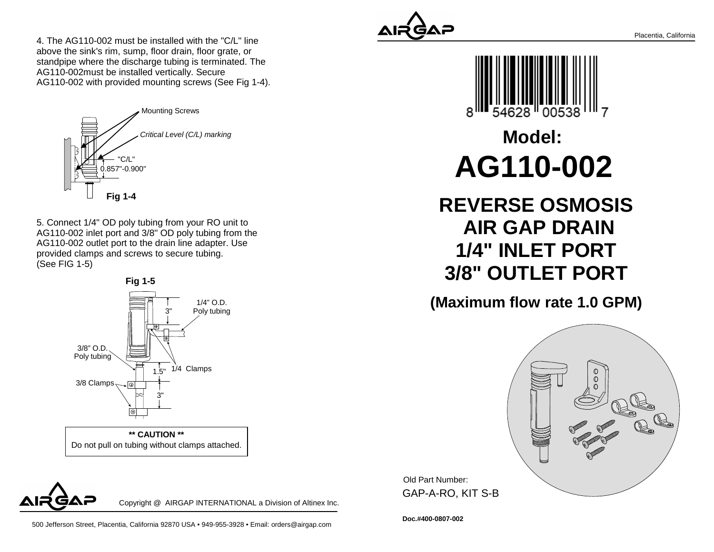4. The AG110-002 must be installed with the "C/L" lineabove the sink's rim, sump, floor drain, floor grate, or standpipe where the discharge tubing is terminated. TheAG110-002must be installed vertically. SecureAG110-002 with provided mounting screws (See Fig 1-4).



5. Connect 1/4" OD poly tubing from your RO unit to AG110-002 inlet port and 3/8" OD poly tubing from theAG110-002 outlet port to the drain line adapter. Useprovided clamps and screws to secure tubing.(See FIG 1-5)



Do not pull on tubing without clamps attached.**\*\* CAUTION \*\***







## **Model:AG110-002**

**REVERSE OSMOSIS AIR GAP DRAIN 1/4" INLET PORT3/8" OUTLET PORT**

**(Maximum flow rate 1.0 GPM)**



Old Part Number: GAP-A-RO, KIT S-B

**Doc.#400-0807-002**